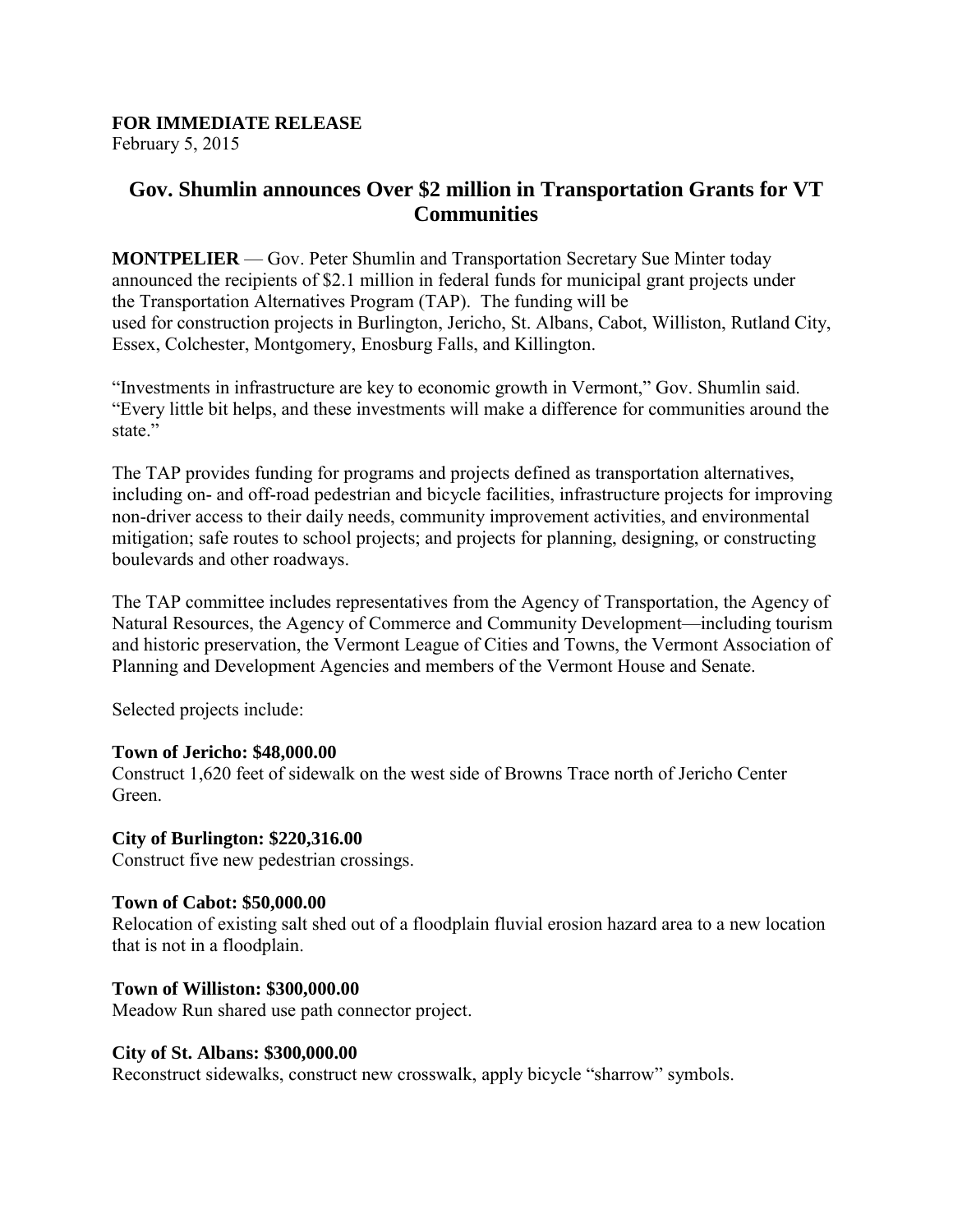# **FOR IMMEDIATE RELEASE**

February 5, 2015

## **Gov. Shumlin announces Over \$2 million in Transportation Grants for VT Communities**

**MONTPELIER** — Gov. Peter Shumlin and Transportation Secretary Sue Minter today announced the recipients of \$2.1 million in federal funds for municipal grant projects under the Transportation Alternatives Program (TAP). The funding will be used for construction projects in Burlington, Jericho, St. Albans, Cabot, Williston, Rutland City, Essex, Colchester, Montgomery, Enosburg Falls, and Killington.

"Investments in infrastructure are key to economic growth in Vermont," Gov. Shumlin said. "Every little bit helps, and these investments will make a difference for communities around the state."

The TAP provides funding for programs and projects defined as transportation alternatives, including on- and off-road pedestrian and bicycle facilities, infrastructure projects for improving non-driver access to their daily needs, community improvement activities, and environmental mitigation; safe routes to school projects; and projects for planning, designing, or constructing boulevards and other roadways.

The TAP committee includes representatives from the Agency of Transportation, the Agency of Natural Resources, the Agency of Commerce and Community Development—including tourism and historic preservation, the Vermont League of Cities and Towns, the Vermont Association of Planning and Development Agencies and members of the Vermont House and Senate.

Selected projects include:

## **Town of Jericho: \$48,000.00**

Construct 1,620 feet of sidewalk on the west side of Browns Trace north of Jericho Center Green.

## **City of Burlington: \$220,316.00**

Construct five new pedestrian crossings.

## **Town of Cabot: \$50,000.00**

Relocation of existing salt shed out of a floodplain fluvial erosion hazard area to a new location that is not in a floodplain.

## **Town of Williston: \$300,000.00**

Meadow Run shared use path connector project.

#### **City of St. Albans: \$300,000.00**

Reconstruct sidewalks, construct new crosswalk, apply bicycle "sharrow" symbols.